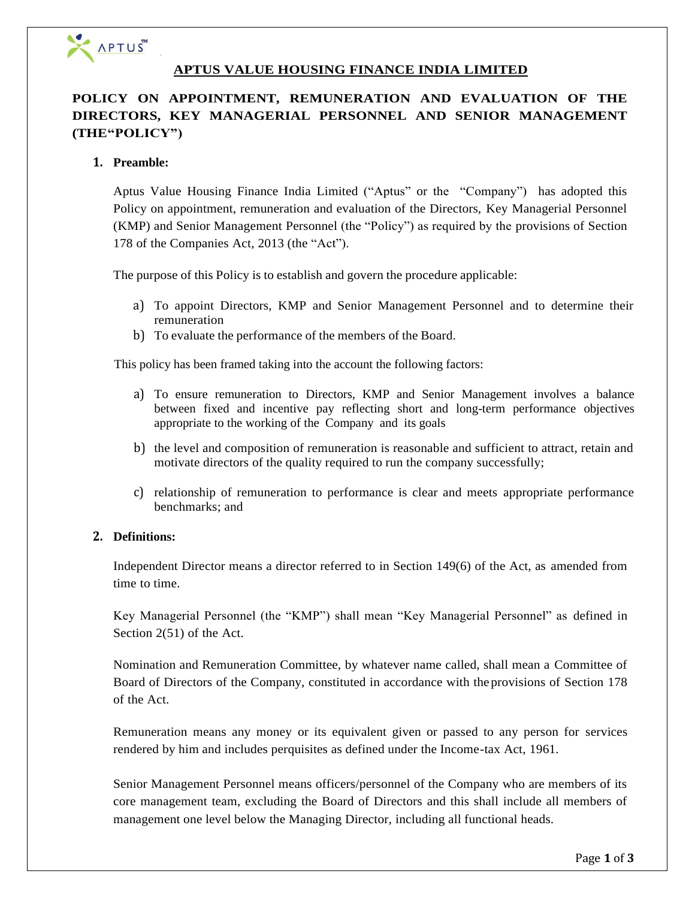

## **APTUS VALUE HOUSING FINANCE INDIA LIMITED**

# **POLICY ON APPOINTMENT, REMUNERATION AND EVALUATION OF THE DIRECTORS, KEY MANAGERIAL PERSONNEL AND SENIOR MANAGEMENT (THE"POLICY")**

#### **1. Preamble:**

Aptus Value Housing Finance India Limited ("Aptus" or the "Company") has adopted this Policy on appointment, remuneration and evaluation of the Directors, Key Managerial Personnel (KMP) and Senior Management Personnel (the "Policy") as required by the provisions of Section 178 of the Companies Act, 2013 (the "Act").

The purpose of this Policy is to establish and govern the procedure applicable:

- a) To appoint Directors, KMP and Senior Management Personnel and to determine their remuneration
- b) To evaluate the performance of the members of the Board.

This policy has been framed taking into the account the following factors:

- a) To ensure remuneration to Directors, KMP and Senior Management involves a balance between fixed and incentive pay reflecting short and long-term performance objectives appropriate to the working of the Company and its goals
- b) the level and composition of remuneration is reasonable and sufficient to attract, retain and motivate directors of the quality required to run the company successfully;
- c) relationship of remuneration to performance is clear and meets appropriate performance benchmarks; and

#### **2. Definitions:**

Independent Director means a director referred to in Section 149(6) of the Act, as amended from time to time.

Key Managerial Personnel (the "KMP") shall mean "Key Managerial Personnel" as defined in Section 2(51) of the Act.

Nomination and Remuneration Committee, by whatever name called, shall mean a Committee of Board of Directors of the Company, constituted in accordance with the provisions of Section 178 of the Act.

Remuneration means any money or its equivalent given or passed to any person for services rendered by him and includes perquisites as defined under the Income-tax Act, 1961.

Senior Management Personnel means officers/personnel of the Company who are members of its core management team, excluding the Board of Directors and this shall include all members of management one level below the Managing Director, including all functional heads.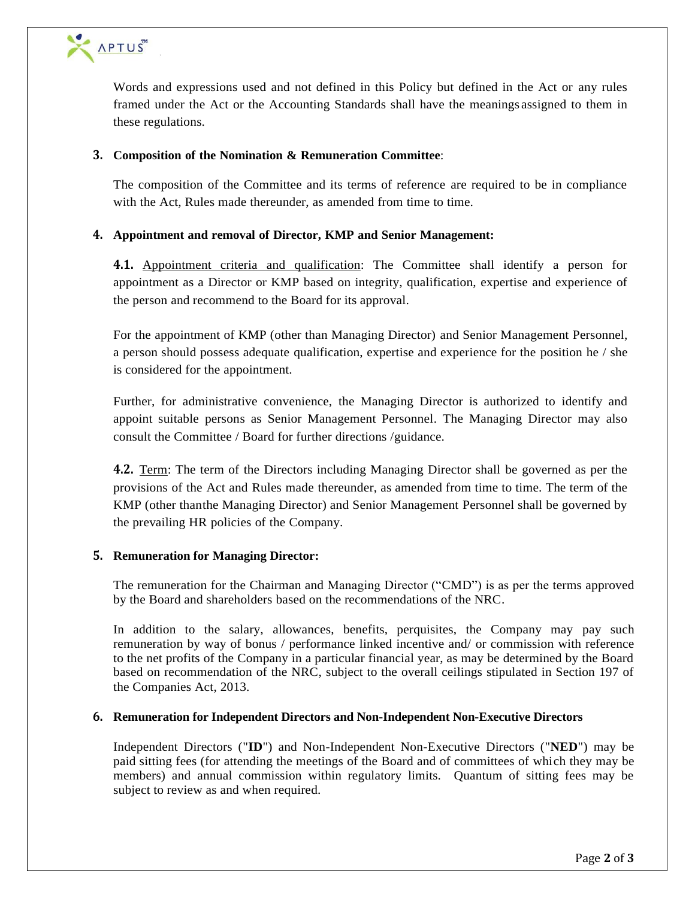

Words and expressions used and not defined in this Policy but defined in the Act or any rules framed under the Act or the Accounting Standards shall have the meanings assigned to them in these regulations.

## **3. Composition of the Nomination & Remuneration Committee**:

The composition of the Committee and its terms of reference are required to be in compliance with the Act, Rules made thereunder, as amended from time to time.

## **4. Appointment and removal of Director, KMP and Senior Management:**

**4.1.** Appointment criteria and qualification: The Committee shall identify a person for appointment as a Director or KMP based on integrity, qualification, expertise and experience of the person and recommend to the Board for its approval.

For the appointment of KMP (other than Managing Director) and Senior Management Personnel, a person should possess adequate qualification, expertise and experience for the position he / she is considered for the appointment.

Further, for administrative convenience, the Managing Director is authorized to identify and appoint suitable persons as Senior Management Personnel. The Managing Director may also consult the Committee / Board for further directions /guidance.

**4.2.** Term: The term of the Directors including Managing Director shall be governed as per the provisions of the Act and Rules made thereunder, as amended from time to time. The term of the KMP (other thanthe Managing Director) and Senior Management Personnel shall be governed by the prevailing HR policies of the Company.

#### **5. Remuneration for Managing Director:**

The remuneration for the Chairman and Managing Director ("CMD") is as per the terms approved by the Board and shareholders based on the recommendations of the NRC.

In addition to the salary, allowances, benefits, perquisites, the Company may pay such remuneration by way of bonus / performance linked incentive and/ or commission with reference to the net profits of the Company in a particular financial year, as may be determined by the Board based on recommendation of the NRC, subject to the overall ceilings stipulated in Section 197 of the Companies Act, 2013.

#### **6. Remuneration for Independent Directors and Non-Independent Non-Executive Directors**

Independent Directors ("**ID**") and Non-Independent Non-Executive Directors ("**NED**") may be paid sitting fees (for attending the meetings of the Board and of committees of which they may be members) and annual commission within regulatory limits. Quantum of sitting fees may be subject to review as and when required.